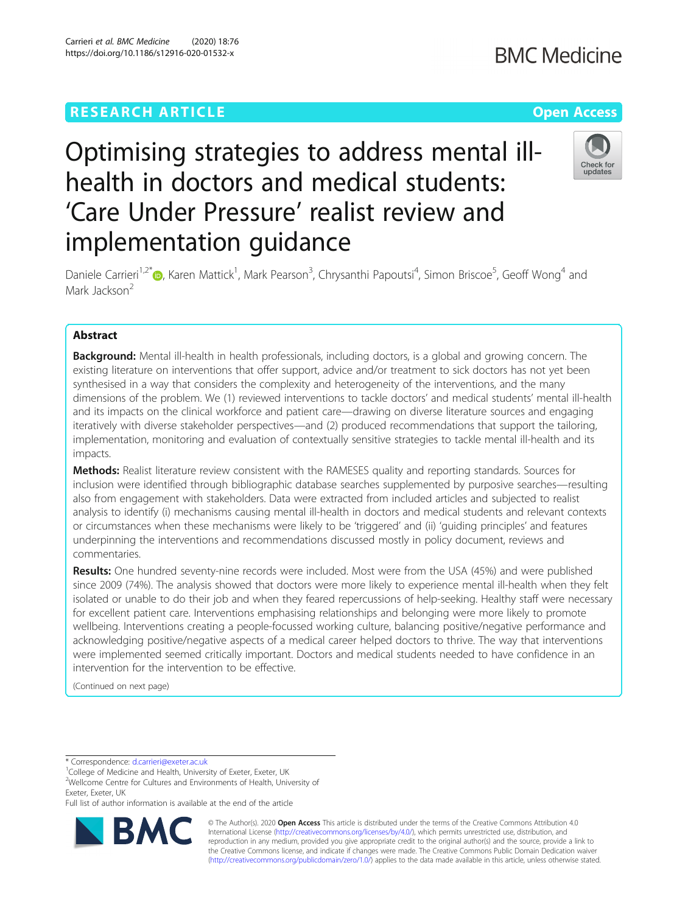Carrieri et al. BMC Medicine (2020) 18:76 https://doi.org/10.1186/s12916-020-01532-x

# Optimising strategies to address mental illhealth in doctors and medical students: 'Care Under Pressure' realist review and implementation guidance



Daniele Carrieri<sup>1[,](http://orcid.org/0000-0002-3143-8430)2\*</sup>®, Karen Mattick<sup>1</sup>, Mark Pearson<sup>3</sup>, Chrysanthi Papoutsi<sup>4</sup>, Simon Briscoe<sup>5</sup>, Geoff Wong<sup>4</sup> and Mark Jackson<sup>2</sup>

# Abstract

**Background:** Mental ill-health in health professionals, including doctors, is a global and growing concern. The existing literature on interventions that offer support, advice and/or treatment to sick doctors has not yet been synthesised in a way that considers the complexity and heterogeneity of the interventions, and the many dimensions of the problem. We (1) reviewed interventions to tackle doctors' and medical students' mental ill-health and its impacts on the clinical workforce and patient care—drawing on diverse literature sources and engaging iteratively with diverse stakeholder perspectives—and (2) produced recommendations that support the tailoring, implementation, monitoring and evaluation of contextually sensitive strategies to tackle mental ill-health and its impacts.

Methods: Realist literature review consistent with the RAMESES quality and reporting standards. Sources for inclusion were identified through bibliographic database searches supplemented by purposive searches—resulting also from engagement with stakeholders. Data were extracted from included articles and subjected to realist analysis to identify (i) mechanisms causing mental ill-health in doctors and medical students and relevant contexts or circumstances when these mechanisms were likely to be 'triggered' and (ii) 'guiding principles' and features underpinning the interventions and recommendations discussed mostly in policy document, reviews and commentaries.

Results: One hundred seventy-nine records were included. Most were from the USA (45%) and were published since 2009 (74%). The analysis showed that doctors were more likely to experience mental ill-health when they felt isolated or unable to do their job and when they feared repercussions of help-seeking. Healthy staff were necessary for excellent patient care. Interventions emphasising relationships and belonging were more likely to promote wellbeing. Interventions creating a people-focussed working culture, balancing positive/negative performance and acknowledging positive/negative aspects of a medical career helped doctors to thrive. The way that interventions were implemented seemed critically important. Doctors and medical students needed to have confidence in an intervention for the intervention to be effective.

(Continued on next page)

\* Correspondence: [d.carrieri@exeter.ac.uk](mailto:d.carrieri@exeter.ac.uk) <sup>1</sup>

<sup>1</sup>College of Medicine and Health, University of Exeter, Exeter, UK

<sup>2</sup>Wellcome Centre for Cultures and Environments of Health, University of Exeter, Exeter, UK

Full list of author information is available at the end of the article



© The Author(s). 2020 **Open Access** This article is distributed under the terms of the Creative Commons Attribution 4.0 International License [\(http://creativecommons.org/licenses/by/4.0/](http://creativecommons.org/licenses/by/4.0/)), which permits unrestricted use, distribution, and reproduction in any medium, provided you give appropriate credit to the original author(s) and the source, provide a link to the Creative Commons license, and indicate if changes were made. The Creative Commons Public Domain Dedication waiver [\(http://creativecommons.org/publicdomain/zero/1.0/](http://creativecommons.org/publicdomain/zero/1.0/)) applies to the data made available in this article, unless otherwise stated.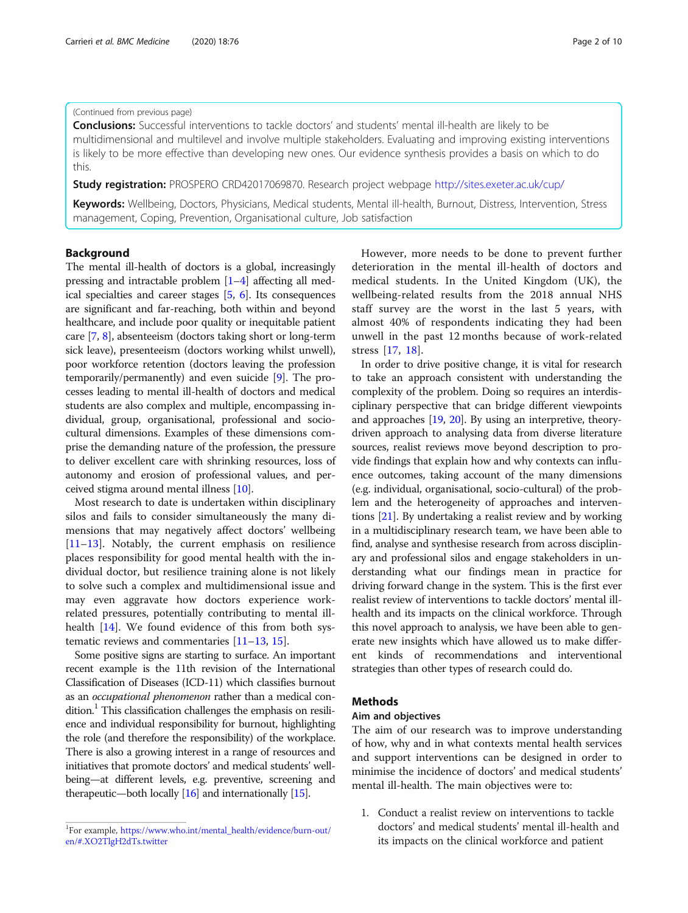# (Continued from previous page)

**Conclusions:** Successful interventions to tackle doctors' and students' mental ill-health are likely to be multidimensional and multilevel and involve multiple stakeholders. Evaluating and improving existing interventions is likely to be more effective than developing new ones. Our evidence synthesis provides a basis on which to do this.

Study registration: PROSPERO CRD42017069870. Research project webpage <http://sites.exeter.ac.uk/cup/>

Keywords: Wellbeing, Doctors, Physicians, Medical students, Mental ill-health, Burnout, Distress, Intervention, Stress management, Coping, Prevention, Organisational culture, Job satisfaction

# Background

The mental ill-health of doctors is a global, increasingly pressing and intractable problem [\[1](#page-9-0)–[4\]](#page-9-0) affecting all medical specialties and career stages [[5](#page-9-0), [6](#page-9-0)]. Its consequences are significant and far-reaching, both within and beyond healthcare, and include poor quality or inequitable patient care [\[7,](#page-9-0) [8](#page-9-0)], absenteeism (doctors taking short or long-term sick leave), presenteeism (doctors working whilst unwell), poor workforce retention (doctors leaving the profession temporarily/permanently) and even suicide [\[9](#page-9-0)]. The processes leading to mental ill-health of doctors and medical students are also complex and multiple, encompassing individual, group, organisational, professional and sociocultural dimensions. Examples of these dimensions comprise the demanding nature of the profession, the pressure to deliver excellent care with shrinking resources, loss of autonomy and erosion of professional values, and perceived stigma around mental illness [[10](#page-9-0)].

Most research to date is undertaken within disciplinary silos and fails to consider simultaneously the many dimensions that may negatively affect doctors' wellbeing [[11](#page-9-0)–[13](#page-9-0)]. Notably, the current emphasis on resilience places responsibility for good mental health with the individual doctor, but resilience training alone is not likely to solve such a complex and multidimensional issue and may even aggravate how doctors experience workrelated pressures, potentially contributing to mental illhealth [\[14](#page-9-0)]. We found evidence of this from both systematic reviews and commentaries [[11](#page-9-0)–[13](#page-9-0), [15](#page-9-0)].

Some positive signs are starting to surface. An important recent example is the 11th revision of the International Classification of Diseases (ICD-11) which classifies burnout as an occupational phenomenon rather than a medical condition.<sup>1</sup> This classification challenges the emphasis on resilience and individual responsibility for burnout, highlighting the role (and therefore the responsibility) of the workplace. There is also a growing interest in a range of resources and initiatives that promote doctors' and medical students' wellbeing—at different levels, e.g. preventive, screening and therapeutic—both locally [\[16\]](#page-9-0) and internationally [\[15\]](#page-9-0).

However, more needs to be done to prevent further deterioration in the mental ill-health of doctors and medical students. In the United Kingdom (UK), the wellbeing-related results from the 2018 annual NHS staff survey are the worst in the last 5 years, with almost 40% of respondents indicating they had been unwell in the past 12 months because of work-related stress [[17](#page-9-0), [18](#page-9-0)].

In order to drive positive change, it is vital for research to take an approach consistent with understanding the complexity of the problem. Doing so requires an interdisciplinary perspective that can bridge different viewpoints and approaches [\[19,](#page-9-0) [20\]](#page-9-0). By using an interpretive, theorydriven approach to analysing data from diverse literature sources, realist reviews move beyond description to provide findings that explain how and why contexts can influence outcomes, taking account of the many dimensions (e.g. individual, organisational, socio-cultural) of the problem and the heterogeneity of approaches and interventions [\[21](#page-9-0)]. By undertaking a realist review and by working in a multidisciplinary research team, we have been able to find, analyse and synthesise research from across disciplinary and professional silos and engage stakeholders in understanding what our findings mean in practice for driving forward change in the system. This is the first ever realist review of interventions to tackle doctors' mental illhealth and its impacts on the clinical workforce. Through this novel approach to analysis, we have been able to generate new insights which have allowed us to make different kinds of recommendations and interventional strategies than other types of research could do.

## **Methods**

# Aim and objectives

The aim of our research was to improve understanding of how, why and in what contexts mental health services and support interventions can be designed in order to minimise the incidence of doctors' and medical students' mental ill-health. The main objectives were to:

1. Conduct a realist review on interventions to tackle doctors' and medical students' mental ill-health and its impacts on the clinical workforce and patient

<sup>&</sup>lt;sup>1</sup>For example, [https://www.who.int/mental\\_health/evidence/burn-out/](https://www.who.int/mental_health/evidence/burn-out/en/#.XO2TlgH2dTs.twitter) [en/#.XO2TlgH2dTs.twitter](https://www.who.int/mental_health/evidence/burn-out/en/#.XO2TlgH2dTs.twitter)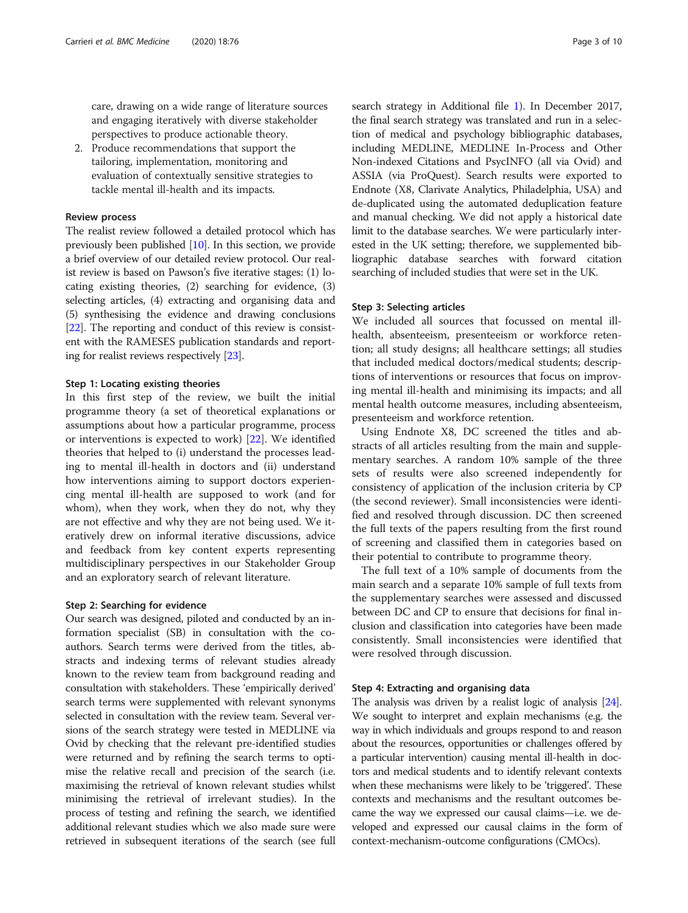care, drawing on a wide range of literature sources and engaging iteratively with diverse stakeholder perspectives to produce actionable theory.

2. Produce recommendations that support the tailoring, implementation, monitoring and evaluation of contextually sensitive strategies to tackle mental ill-health and its impacts.

#### Review process

The realist review followed a detailed protocol which has previously been published [[10](#page-9-0)]. In this section, we provide a brief overview of our detailed review protocol. Our realist review is based on Pawson's five iterative stages: (1) locating existing theories, (2) searching for evidence, (3) selecting articles, (4) extracting and organising data and (5) synthesising the evidence and drawing conclusions [[22](#page-9-0)]. The reporting and conduct of this review is consistent with the RAMESES publication standards and reporting for realist reviews respectively [[23](#page-9-0)].

### Step 1: Locating existing theories

In this first step of the review, we built the initial programme theory (a set of theoretical explanations or assumptions about how a particular programme, process or interventions is expected to work) [\[22](#page-9-0)]. We identified theories that helped to (i) understand the processes leading to mental ill-health in doctors and (ii) understand how interventions aiming to support doctors experiencing mental ill-health are supposed to work (and for whom), when they work, when they do not, why they are not effective and why they are not being used. We iteratively drew on informal iterative discussions, advice and feedback from key content experts representing multidisciplinary perspectives in our Stakeholder Group and an exploratory search of relevant literature.

#### Step 2: Searching for evidence

Our search was designed, piloted and conducted by an information specialist (SB) in consultation with the coauthors. Search terms were derived from the titles, abstracts and indexing terms of relevant studies already known to the review team from background reading and consultation with stakeholders. These 'empirically derived' search terms were supplemented with relevant synonyms selected in consultation with the review team. Several versions of the search strategy were tested in MEDLINE via Ovid by checking that the relevant pre-identified studies were returned and by refining the search terms to optimise the relative recall and precision of the search (i.e. maximising the retrieval of known relevant studies whilst minimising the retrieval of irrelevant studies). In the process of testing and refining the search, we identified additional relevant studies which we also made sure were retrieved in subsequent iterations of the search (see full search strategy in Additional file [1\)](#page-8-0). In December 2017, the final search strategy was translated and run in a selection of medical and psychology bibliographic databases, including MEDLINE, MEDLINE In-Process and Other Non-indexed Citations and PsycINFO (all via Ovid) and ASSIA (via ProQuest). Search results were exported to Endnote (X8, Clarivate Analytics, Philadelphia, USA) and de-duplicated using the automated deduplication feature and manual checking. We did not apply a historical date limit to the database searches. We were particularly interested in the UK setting; therefore, we supplemented bibliographic database searches with forward citation searching of included studies that were set in the UK.

## Step 3: Selecting articles

We included all sources that focussed on mental illhealth, absenteeism, presenteeism or workforce retention; all study designs; all healthcare settings; all studies that included medical doctors/medical students; descriptions of interventions or resources that focus on improving mental ill-health and minimising its impacts; and all mental health outcome measures, including absenteeism, presenteeism and workforce retention.

Using Endnote X8, DC screened the titles and abstracts of all articles resulting from the main and supplementary searches. A random 10% sample of the three sets of results were also screened independently for consistency of application of the inclusion criteria by CP (the second reviewer). Small inconsistencies were identified and resolved through discussion. DC then screened the full texts of the papers resulting from the first round of screening and classified them in categories based on their potential to contribute to programme theory.

The full text of a 10% sample of documents from the main search and a separate 10% sample of full texts from the supplementary searches were assessed and discussed between DC and CP to ensure that decisions for final inclusion and classification into categories have been made consistently. Small inconsistencies were identified that were resolved through discussion.

#### Step 4: Extracting and organising data

The analysis was driven by a realist logic of analysis [\[24](#page-9-0)]. We sought to interpret and explain mechanisms (e.g. the way in which individuals and groups respond to and reason about the resources, opportunities or challenges offered by a particular intervention) causing mental ill-health in doctors and medical students and to identify relevant contexts when these mechanisms were likely to be 'triggered'. These contexts and mechanisms and the resultant outcomes became the way we expressed our causal claims—i.e. we developed and expressed our causal claims in the form of context-mechanism-outcome configurations (CMOcs).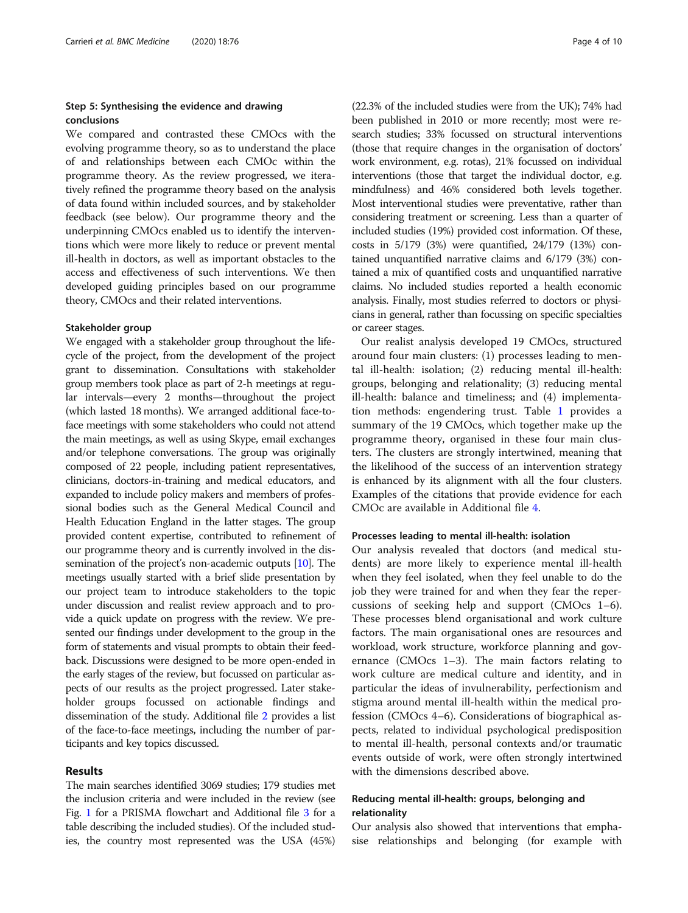# Step 5: Synthesising the evidence and drawing conclusions

We compared and contrasted these CMOcs with the evolving programme theory, so as to understand the place of and relationships between each CMOc within the programme theory. As the review progressed, we iteratively refined the programme theory based on the analysis of data found within included sources, and by stakeholder feedback (see below). Our programme theory and the underpinning CMOcs enabled us to identify the interventions which were more likely to reduce or prevent mental ill-health in doctors, as well as important obstacles to the access and effectiveness of such interventions. We then developed guiding principles based on our programme theory, CMOcs and their related interventions.

#### Stakeholder group

We engaged with a stakeholder group throughout the lifecycle of the project, from the development of the project grant to dissemination. Consultations with stakeholder group members took place as part of 2-h meetings at regular intervals—every 2 months—throughout the project (which lasted 18 months). We arranged additional face-toface meetings with some stakeholders who could not attend the main meetings, as well as using Skype, email exchanges and/or telephone conversations. The group was originally composed of 22 people, including patient representatives, clinicians, doctors-in-training and medical educators, and expanded to include policy makers and members of professional bodies such as the General Medical Council and Health Education England in the latter stages. The group provided content expertise, contributed to refinement of our programme theory and is currently involved in the dissemination of the project's non-academic outputs [\[10\]](#page-9-0). The meetings usually started with a brief slide presentation by our project team to introduce stakeholders to the topic under discussion and realist review approach and to provide a quick update on progress with the review. We presented our findings under development to the group in the form of statements and visual prompts to obtain their feedback. Discussions were designed to be more open-ended in the early stages of the review, but focussed on particular aspects of our results as the project progressed. Later stakeholder groups focussed on actionable findings and dissemination of the study. Additional file [2](#page-8-0) provides a list of the face-to-face meetings, including the number of participants and key topics discussed.

### Results

The main searches identified 3069 studies; 179 studies met the inclusion criteria and were included in the review (see Fig. [1](#page-4-0) for a PRISMA flowchart and Additional file [3](#page-8-0) for a table describing the included studies). Of the included studies, the country most represented was the USA (45%)

(22.3% of the included studies were from the UK); 74% had been published in 2010 or more recently; most were research studies; 33% focussed on structural interventions (those that require changes in the organisation of doctors' work environment, e.g. rotas), 21% focussed on individual interventions (those that target the individual doctor, e.g. mindfulness) and 46% considered both levels together. Most interventional studies were preventative, rather than considering treatment or screening. Less than a quarter of included studies (19%) provided cost information. Of these, costs in 5/179 (3%) were quantified, 24/179 (13%) contained unquantified narrative claims and 6/179 (3%) contained a mix of quantified costs and unquantified narrative claims. No included studies reported a health economic analysis. Finally, most studies referred to doctors or physicians in general, rather than focussing on specific specialties or career stages.

Our realist analysis developed 19 CMOcs, structured around four main clusters: (1) processes leading to mental ill-health: isolation; (2) reducing mental ill-health: groups, belonging and relationality; (3) reducing mental ill-health: balance and timeliness; and (4) implementation methods: engendering trust. Table [1](#page-5-0) provides a summary of the 19 CMOcs, which together make up the programme theory, organised in these four main clusters. The clusters are strongly intertwined, meaning that the likelihood of the success of an intervention strategy is enhanced by its alignment with all the four clusters. Examples of the citations that provide evidence for each CMOc are available in Additional file [4.](#page-8-0)

# Processes leading to mental ill-health: isolation

Our analysis revealed that doctors (and medical students) are more likely to experience mental ill-health when they feel isolated, when they feel unable to do the job they were trained for and when they fear the repercussions of seeking help and support (CMOcs 1–6). These processes blend organisational and work culture factors. The main organisational ones are resources and workload, work structure, workforce planning and governance (CMOcs 1–3). The main factors relating to work culture are medical culture and identity, and in particular the ideas of invulnerability, perfectionism and stigma around mental ill-health within the medical profession (CMOcs 4–6). Considerations of biographical aspects, related to individual psychological predisposition to mental ill-health, personal contexts and/or traumatic events outside of work, were often strongly intertwined with the dimensions described above.

# Reducing mental ill-health: groups, belonging and relationality

Our analysis also showed that interventions that emphasise relationships and belonging (for example with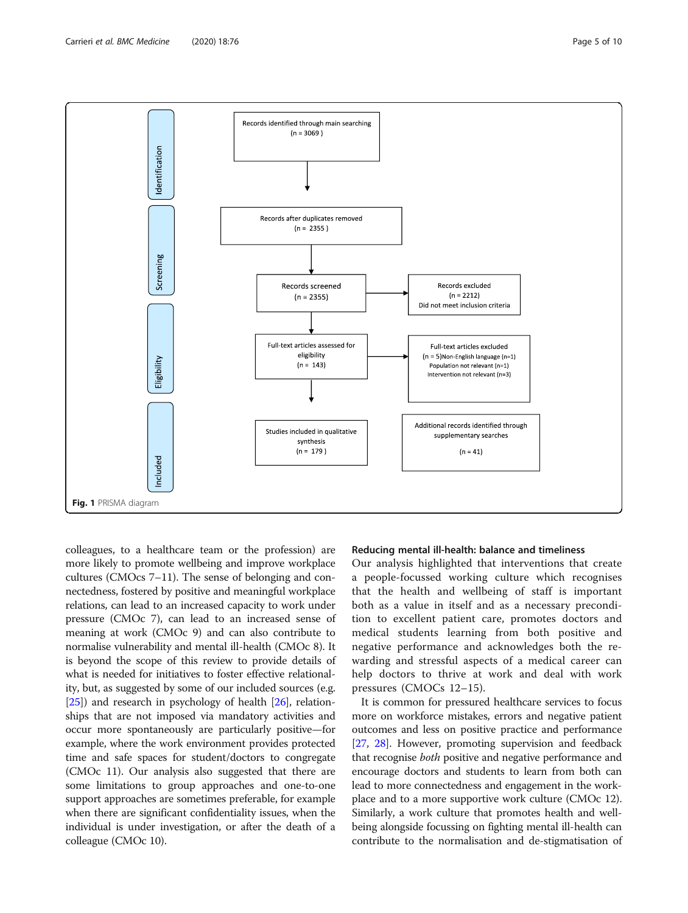<span id="page-4-0"></span>

colleagues, to a healthcare team or the profession) are more likely to promote wellbeing and improve workplace cultures (CMOcs 7–11). The sense of belonging and connectedness, fostered by positive and meaningful workplace relations, can lead to an increased capacity to work under pressure (CMOc 7), can lead to an increased sense of meaning at work (CMOc 9) and can also contribute to normalise vulnerability and mental ill-health (CMOc 8). It is beyond the scope of this review to provide details of what is needed for initiatives to foster effective relationality, but, as suggested by some of our included sources (e.g. [[25](#page-9-0)]) and research in psychology of health [[26](#page-9-0)], relationships that are not imposed via mandatory activities and occur more spontaneously are particularly positive—for example, where the work environment provides protected time and safe spaces for student/doctors to congregate (CMOc 11). Our analysis also suggested that there are some limitations to group approaches and one-to-one support approaches are sometimes preferable, for example when there are significant confidentiality issues, when the individual is under investigation, or after the death of a colleague (CMOc 10).

#### Reducing mental ill-health: balance and timeliness

Our analysis highlighted that interventions that create a people-focussed working culture which recognises that the health and wellbeing of staff is important both as a value in itself and as a necessary precondition to excellent patient care, promotes doctors and medical students learning from both positive and negative performance and acknowledges both the rewarding and stressful aspects of a medical career can help doctors to thrive at work and deal with work pressures (CMOCs 12–15).

It is common for pressured healthcare services to focus more on workforce mistakes, errors and negative patient outcomes and less on positive practice and performance [[27](#page-9-0), [28\]](#page-9-0). However, promoting supervision and feedback that recognise both positive and negative performance and encourage doctors and students to learn from both can lead to more connectedness and engagement in the workplace and to a more supportive work culture (CMOc 12). Similarly, a work culture that promotes health and wellbeing alongside focussing on fighting mental ill-health can contribute to the normalisation and de-stigmatisation of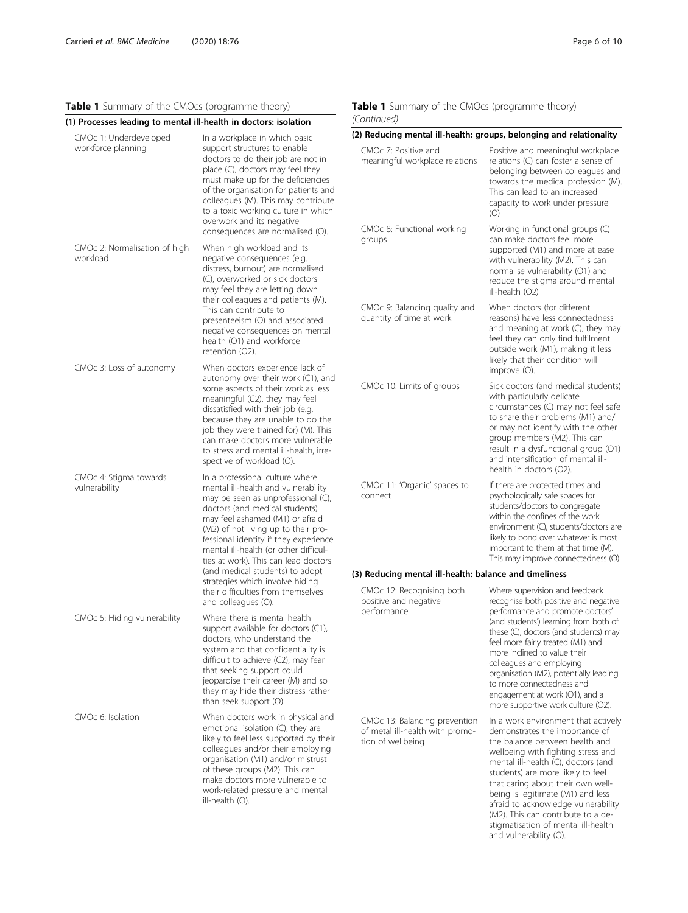# <span id="page-5-0"></span>Table 1 Summary of the CMOcs (programme theory)

|  | (1) Processes leading to mental ill-health in doctors: isolation |  |  |  |  |
|--|------------------------------------------------------------------|--|--|--|--|
|--|------------------------------------------------------------------|--|--|--|--|

|                                                                                                                                                                                                                                                                                                                                                                                                                                                                | (2) Reducing m                                                                           |
|----------------------------------------------------------------------------------------------------------------------------------------------------------------------------------------------------------------------------------------------------------------------------------------------------------------------------------------------------------------------------------------------------------------------------------------------------------------|------------------------------------------------------------------------------------------|
| support structures to enable<br>doctors to do their job are not in<br>place (C), doctors may feel they<br>must make up for the deficiencies<br>of the organisation for patients and<br>colleagues (M). This may contribute<br>to a toxic working culture in which<br>overwork and its negative                                                                                                                                                                 | CMOc 7: Posit<br>meaningful w<br>CMOc 8: Fund                                            |
| When high workload and its<br>negative consequences (e.g.<br>distress, burnout) are normalised<br>(C), overworked or sick doctors<br>may feel they are letting down<br>their colleagues and patients (M).<br>This can contribute to<br>presenteeism (O) and associated<br>negative consequences on mental<br>health (O1) and workforce<br>retention (O2).                                                                                                      | groups<br>CMOc 9: Balar<br>quantity of tir                                               |
| When doctors experience lack of<br>autonomy over their work (C1), and<br>some aspects of their work as less<br>meaningful (C2), they may feel<br>dissatisfied with their job (e.g.<br>because they are unable to do the<br>job they were trained for) (M). This<br>can make doctors more vulnerable<br>to stress and mental ill-health, irre-<br>spective of workload (O).                                                                                     | CMOc 10: Lim                                                                             |
| In a professional culture where<br>mental ill-health and vulnerability<br>may be seen as unprofessional (C),<br>doctors (and medical students)<br>may feel ashamed (M1) or afraid<br>(M2) of not living up to their pro-<br>fessional identity if they experience<br>mental ill-health (or other difficul-<br>ties at work). This can lead doctors<br>(and medical students) to adopt<br>strategies which involve hiding<br>their difficulties from themselves | CMOc 11: 'Ord<br>connect<br>(3) Reducing m<br>CMOc 12: Rec<br>positive and r             |
| Where there is mental health<br>support available for doctors (C1),<br>doctors, who understand the<br>system and that confidentiality is<br>difficult to achieve (C2), may fear<br>that seeking support could<br>jeopardise their career (M) and so<br>they may hide their distress rather<br>than seek support (O).                                                                                                                                           | performance                                                                              |
| When doctors work in physical and<br>emotional isolation (C), they are<br>likely to feel less supported by their<br>colleagues and/or their employing<br>organisation (M1) and/or mistrust<br>of these groups (M2). This can<br>make doctors more vulnerable to<br>work-related pressure and mental<br>ill-health (O).                                                                                                                                         | CMOc 13: Bala<br>of metal ill-he<br>tion of wellbe                                       |
|                                                                                                                                                                                                                                                                                                                                                                                                                                                                | In a workplace in which basic<br>consequences are normalised (O).<br>and colleagues (O). |

# Table 1 Summary of the CMOcs (programme theory) (Continued)

| (2) Reducing mental ill-health: groups, belonging and relationality |  |  |
|---------------------------------------------------------------------|--|--|
|---------------------------------------------------------------------|--|--|

| CMOc 7: Positive and<br>meaningful workplace relations    | Positive and meaningful workplace<br>relations (C) can foster a sense of<br>belonging between colleagues and<br>towards the medical profession (M).<br>This can lead to an increased<br>capacity to work under pressure<br>(O)                                                                                               |
|-----------------------------------------------------------|------------------------------------------------------------------------------------------------------------------------------------------------------------------------------------------------------------------------------------------------------------------------------------------------------------------------------|
| CMOc 8: Functional working<br>groups                      | Working in functional groups (C)<br>can make doctors feel more<br>supported (M1) and more at ease<br>with vulnerability (M2). This can<br>normalise vulnerability (O1) and<br>reduce the stigma around mental<br>ill-health (O2)                                                                                             |
| CMOc 9: Balancing quality and<br>quantity of time at work | When doctors (for different<br>reasons) have less connectedness<br>and meaning at work $(C)$ , they may<br>feel they can only find fulfilment<br>outside work (M1), making it less<br>likely that their condition will<br>improve (O).                                                                                       |
| CMOc 10: Limits of groups                                 | Sick doctors (and medical students)<br>with particularly delicate<br>circumstances (C) may not feel safe<br>to share their problems (M1) and/<br>or may not identify with the other<br>group members (M2). This can<br>result in a dysfunctional group (O1)<br>and intensification of mental ill-<br>health in doctors (O2). |
| CMOc 11: 'Organic' spaces to<br>connect                   | If there are protected times and<br>psychologically safe spaces for<br>students/doctors to congregate<br>within the confines of the work<br>environment (C), students/doctors are<br>likely to bond over whatever is most<br>important to them at that time (M).<br>This may improve connectedness (O).                      |

# ental ill-health: balance and timeliness

| CMOc 12: Recognising both<br>positive and negative<br>performance                     | Where supervision and feedback<br>recognise both positive and negative<br>performance and promote doctors'<br>(and students') learning from both of<br>these (C), doctors (and students) may<br>feel more fairly treated (M1) and<br>more inclined to value their<br>colleagues and employing<br>organisation (M2), potentially leading<br>to more connectedness and<br>engagement at work (O1), and a<br>more supportive work culture (O2). |
|---------------------------------------------------------------------------------------|----------------------------------------------------------------------------------------------------------------------------------------------------------------------------------------------------------------------------------------------------------------------------------------------------------------------------------------------------------------------------------------------------------------------------------------------|
| CMOc 13: Balancing prevention<br>of metal ill-health with promo-<br>tion of wellbeing | In a work environment that actively<br>demonstrates the importance of<br>the balance between health and<br>wellbeing with fighting stress and<br>mental ill-health (C), doctors (and<br>students) are more likely to feel                                                                                                                                                                                                                    |

that caring about their own wellbeing is legitimate (M1) and less afraid to acknowledge vulnerability (M2). This can contribute to a destigmatisation of mental ill-health and vulnerability (O).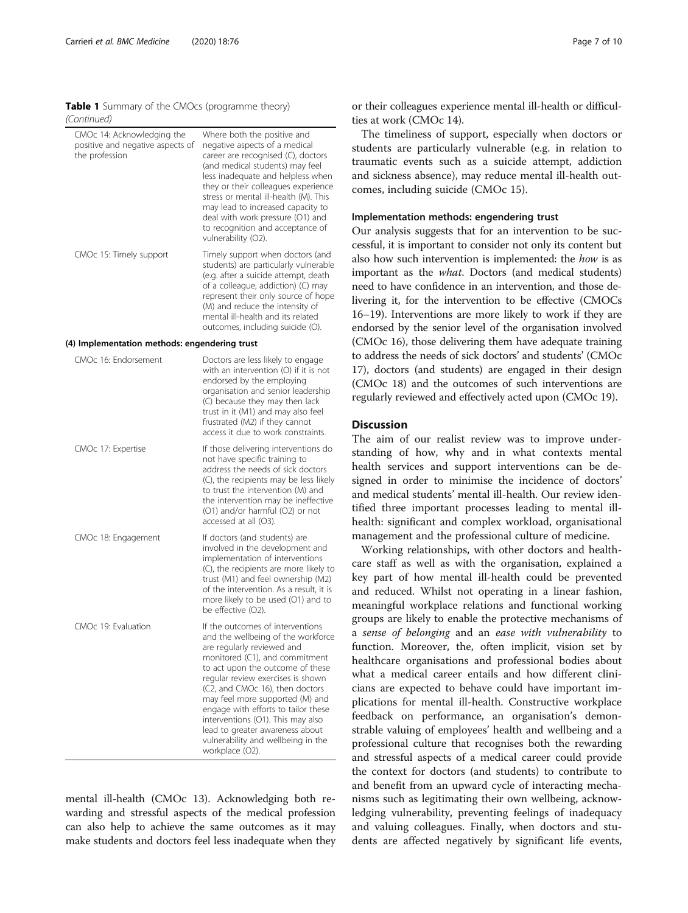Table 1 Summary of the CMOcs (programme theory) (Continued)

| CMOc 14: Acknowledging the<br>positive and negative aspects of<br>the profession | Where both the positive and<br>negative aspects of a medical<br>career are recognised (C), doctors<br>(and medical students) may feel<br>less inadequate and helpless when<br>they or their colleagues experience<br>stress or mental ill-health (M). This<br>may lead to increased capacity to<br>deal with work pressure (O1) and<br>to recognition and acceptance of<br>vulnerability (O2).                                             |
|----------------------------------------------------------------------------------|--------------------------------------------------------------------------------------------------------------------------------------------------------------------------------------------------------------------------------------------------------------------------------------------------------------------------------------------------------------------------------------------------------------------------------------------|
| CMOc 15: Timely support                                                          | Timely support when doctors (and<br>students) are particularly vulnerable<br>(e.g. after a suicide attempt, death<br>of a colleague, addiction) (C) may<br>represent their only source of hope<br>(M) and reduce the intensity of<br>mental ill-health and its related<br>outcomes, including suicide (O).                                                                                                                                 |
| (4) Implementation methods: engendering trust                                    |                                                                                                                                                                                                                                                                                                                                                                                                                                            |
| CMOc 16: Endorsement                                                             | Doctors are less likely to engage<br>with an intervention (O) if it is not<br>endorsed by the employing<br>organisation and senior leadership<br>(C) because they may then lack<br>trust in it (M1) and may also feel<br>frustrated (M2) if they cannot<br>access it due to work constraints.                                                                                                                                              |
| CMOc 17: Expertise                                                               | If those delivering interventions do<br>not have specific training to<br>address the needs of sick doctors<br>(C), the recipients may be less likely<br>to trust the intervention (M) and<br>the intervention may be ineffective<br>(O1) and/or harmful (O2) or not<br>accessed at all (O3).                                                                                                                                               |
| CMOc 18: Engagement                                                              | If doctors (and students) are<br>involved in the development and<br>implementation of interventions<br>(C), the recipients are more likely to<br>trust (M1) and feel ownership (M2)<br>of the intervention. As a result, it is<br>more likely to be used (O1) and to<br>be effective (O2).                                                                                                                                                 |
| CMOc 19: Evaluation                                                              | If the outcomes of interventions<br>and the wellbeing of the workforce<br>are regularly reviewed and<br>monitored (C1), and commitment<br>to act upon the outcome of these<br>regular review exercises is shown<br>(C2, and CMOc 16), then doctors<br>may feel more supported (M) and<br>engage with efforts to tailor these<br>interventions (O1). This may also<br>lead to greater awareness about<br>vulnerability and wellbeing in the |

mental ill-health (CMOc 13). Acknowledging both rewarding and stressful aspects of the medical profession can also help to achieve the same outcomes as it may make students and doctors feel less inadequate when they

workplace (O2).

or their colleagues experience mental ill-health or difficulties at work (CMOc 14).

The timeliness of support, especially when doctors or students are particularly vulnerable (e.g. in relation to traumatic events such as a suicide attempt, addiction and sickness absence), may reduce mental ill-health outcomes, including suicide (CMOc 15).

#### Implementation methods: engendering trust

Our analysis suggests that for an intervention to be successful, it is important to consider not only its content but also how such intervention is implemented: the how is as important as the what. Doctors (and medical students) need to have confidence in an intervention, and those delivering it, for the intervention to be effective (CMOCs 16–19). Interventions are more likely to work if they are endorsed by the senior level of the organisation involved (CMOc 16), those delivering them have adequate training to address the needs of sick doctors' and students' (CMOc 17), doctors (and students) are engaged in their design (CMOc 18) and the outcomes of such interventions are regularly reviewed and effectively acted upon (CMOc 19).

# Discussion

The aim of our realist review was to improve understanding of how, why and in what contexts mental health services and support interventions can be designed in order to minimise the incidence of doctors' and medical students' mental ill-health. Our review identified three important processes leading to mental illhealth: significant and complex workload, organisational management and the professional culture of medicine.

Working relationships, with other doctors and healthcare staff as well as with the organisation, explained a key part of how mental ill-health could be prevented and reduced. Whilst not operating in a linear fashion, meaningful workplace relations and functional working groups are likely to enable the protective mechanisms of <sup>a</sup> sense of belonging and an ease with vulnerability to function. Moreover, the, often implicit, vision set by healthcare organisations and professional bodies about what a medical career entails and how different clinicians are expected to behave could have important implications for mental ill-health. Constructive workplace feedback on performance, an organisation's demonstrable valuing of employees' health and wellbeing and a professional culture that recognises both the rewarding and stressful aspects of a medical career could provide the context for doctors (and students) to contribute to and benefit from an upward cycle of interacting mechanisms such as legitimating their own wellbeing, acknowledging vulnerability, preventing feelings of inadequacy and valuing colleagues. Finally, when doctors and students are affected negatively by significant life events,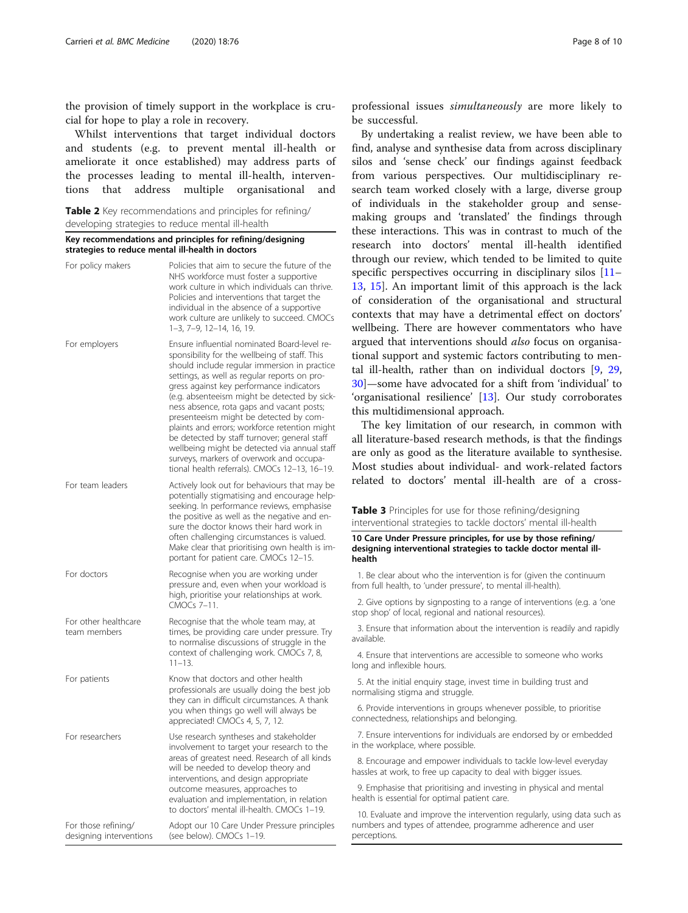<span id="page-7-0"></span>the provision of timely support in the workplace is crucial for hope to play a role in recovery.

Whilst interventions that target individual doctors and students (e.g. to prevent mental ill-health or ameliorate it once established) may address parts of the processes leading to mental ill-health, interventions that address multiple organisational and

Table 2 Key recommendations and principles for refining/ developing strategies to reduce mental ill-health

# Key recommendations and principles for refining/designing strategies to reduce mental ill-health in doctors

| For policy makers                              | Policies that aim to secure the future of the<br>NHS workforce must foster a supportive<br>work culture in which individuals can thrive.<br>Policies and interventions that target the<br>individual in the absence of a supportive<br>work culture are unlikely to succeed. CMOCs<br>1-3, 7-9, 12-14, 16, 19.                                                                                                                                                                                                                                                                                                                 |
|------------------------------------------------|--------------------------------------------------------------------------------------------------------------------------------------------------------------------------------------------------------------------------------------------------------------------------------------------------------------------------------------------------------------------------------------------------------------------------------------------------------------------------------------------------------------------------------------------------------------------------------------------------------------------------------|
| For employers                                  | Ensure influential nominated Board-level re-<br>sponsibility for the wellbeing of staff. This<br>should include regular immersion in practice<br>settings, as well as regular reports on pro-<br>gress against key performance indicators<br>(e.g. absenteeism might be detected by sick-<br>ness absence, rota gaps and vacant posts;<br>presenteeism might be detected by com-<br>plaints and errors; workforce retention might<br>be detected by staff turnover; general staff<br>wellbeing might be detected via annual staff<br>surveys, markers of overwork and occupa-<br>tional health referrals). CMOCs 12-13, 16-19. |
| For team leaders                               | Actively look out for behaviours that may be<br>potentially stigmatising and encourage help-<br>seeking. In performance reviews, emphasise<br>the positive as well as the negative and en-<br>sure the doctor knows their hard work in<br>often challenging circumstances is valued.<br>Make clear that prioritising own health is im-<br>portant for patient care. CMOCs 12-15.                                                                                                                                                                                                                                               |
| For doctors                                    | Recognise when you are working under<br>pressure and, even when your workload is<br>high, prioritise your relationships at work.<br>CMOCs 7-11.                                                                                                                                                                                                                                                                                                                                                                                                                                                                                |
| For other healthcare<br>team members           | Recognise that the whole team may, at<br>times, be providing care under pressure. Try<br>to normalise discussions of struggle in the<br>context of challenging work. CMOCs 7, 8,<br>$11 - 13$ .                                                                                                                                                                                                                                                                                                                                                                                                                                |
| For patients                                   | Know that doctors and other health<br>professionals are usually doing the best job<br>they can in difficult circumstances. A thank<br>you when things go well will always be<br>appreciated! CMOCs 4, 5, 7, 12.                                                                                                                                                                                                                                                                                                                                                                                                                |
| For researchers                                | Use research syntheses and stakeholder<br>involvement to target your research to the<br>areas of greatest need. Research of all kinds<br>will be needed to develop theory and<br>interventions, and design appropriate<br>outcome measures, approaches to<br>evaluation and implementation, in relation<br>to doctors' mental ill-health. CMOCs 1-19.                                                                                                                                                                                                                                                                          |
| For those refining/<br>designing interventions | Adopt our 10 Care Under Pressure principles<br>(see below). CMOCs 1-19.                                                                                                                                                                                                                                                                                                                                                                                                                                                                                                                                                        |

professional issues simultaneously are more likely to be successful.

By undertaking a realist review, we have been able to find, analyse and synthesise data from across disciplinary silos and 'sense check' our findings against feedback from various perspectives. Our multidisciplinary research team worked closely with a large, diverse group of individuals in the stakeholder group and sensemaking groups and 'translated' the findings through these interactions. This was in contrast to much of the research into doctors' mental ill-health identified through our review, which tended to be limited to quite specific perspectives occurring in disciplinary silos [[11](#page-9-0)– [13,](#page-9-0) [15](#page-9-0)]. An important limit of this approach is the lack of consideration of the organisational and structural contexts that may have a detrimental effect on doctors' wellbeing. There are however commentators who have argued that interventions should also focus on organisational support and systemic factors contributing to mental ill-health, rather than on individual doctors [[9,](#page-9-0) [29](#page-9-0), [30\]](#page-9-0)—some have advocated for a shift from 'individual' to 'organisational resilience' [[13](#page-9-0)]. Our study corroborates this multidimensional approach.

The key limitation of our research, in common with all literature-based research methods, is that the findings are only as good as the literature available to synthesise. Most studies about individual- and work-related factors related to doctors' mental ill-health are of a cross-

## Table 3 Principles for use for those refining/designing interventional strategies to tackle doctors' mental ill-health

10 Care Under Pressure principles, for use by those refining/ designing interventional strategies to tackle doctor mental illhealth

1. Be clear about who the intervention is for (given the continuum from full health, to 'under pressure', to mental ill-health).

2. Give options by signposting to a range of interventions (e.g. a 'one stop shop' of local, regional and national resources).

3. Ensure that information about the intervention is readily and rapidly available.

4. Ensure that interventions are accessible to someone who works long and inflexible hours.

5. At the initial enquiry stage, invest time in building trust and normalising stigma and struggle.

6. Provide interventions in groups whenever possible, to prioritise connectedness, relationships and belonging.

7. Ensure interventions for individuals are endorsed by or embedded in the workplace, where possible.

8. Encourage and empower individuals to tackle low-level everyday hassles at work, to free up capacity to deal with bigger issues.

9. Emphasise that prioritising and investing in physical and mental health is essential for optimal patient care.

10. Evaluate and improve the intervention regularly, using data such as numbers and types of attendee, programme adherence and user perceptions.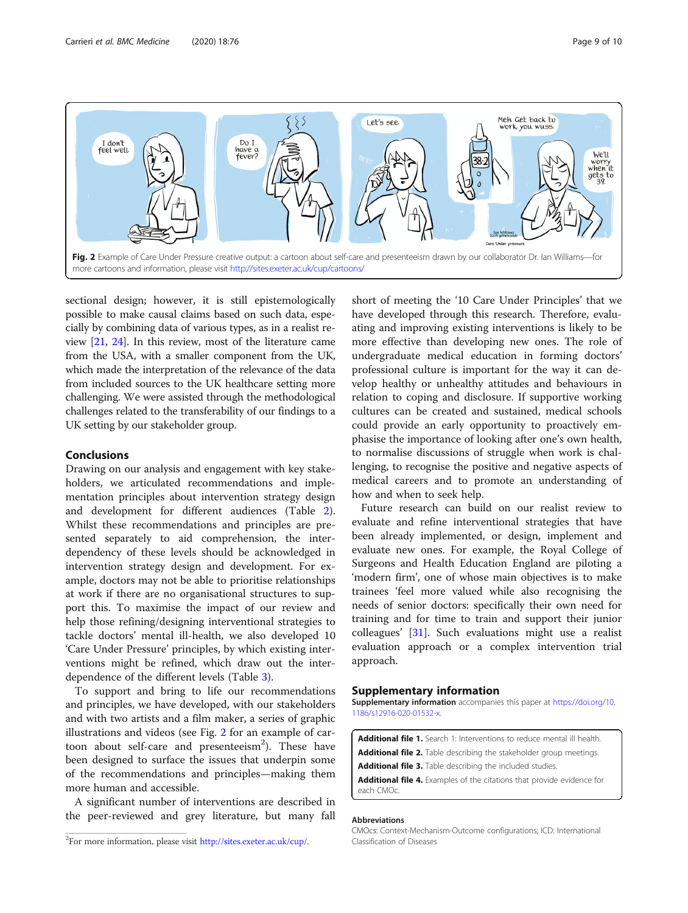<span id="page-8-0"></span>

sectional design; however, it is still epistemologically possible to make causal claims based on such data, especially by combining data of various types, as in a realist review [\[21](#page-9-0), [24\]](#page-9-0). In this review, most of the literature came from the USA, with a smaller component from the UK, which made the interpretation of the relevance of the data from included sources to the UK healthcare setting more challenging. We were assisted through the methodological challenges related to the transferability of our findings to a UK setting by our stakeholder group.

#### Conclusions

Drawing on our analysis and engagement with key stakeholders, we articulated recommendations and implementation principles about intervention strategy design and development for different audiences (Table [2](#page-7-0)). Whilst these recommendations and principles are presented separately to aid comprehension, the interdependency of these levels should be acknowledged in intervention strategy design and development. For example, doctors may not be able to prioritise relationships at work if there are no organisational structures to support this. To maximise the impact of our review and help those refining/designing interventional strategies to tackle doctors' mental ill-health, we also developed 10 'Care Under Pressure' principles, by which existing interventions might be refined, which draw out the interdependence of the different levels (Table [3](#page-7-0)).

To support and bring to life our recommendations and principles, we have developed, with our stakeholders and with two artists and a film maker, a series of graphic illustrations and videos (see Fig. 2 for an example of cartoon about self-care and presenteeism<sup>2</sup>). These have been designed to surface the issues that underpin some of the recommendations and principles—making them more human and accessible.

A significant number of interventions are described in the peer-reviewed and grey literature, but many fall

short of meeting the '10 Care Under Principles' that we have developed through this research. Therefore, evaluating and improving existing interventions is likely to be more effective than developing new ones. The role of undergraduate medical education in forming doctors' professional culture is important for the way it can develop healthy or unhealthy attitudes and behaviours in relation to coping and disclosure. If supportive working cultures can be created and sustained, medical schools could provide an early opportunity to proactively emphasise the importance of looking after one's own health, to normalise discussions of struggle when work is challenging, to recognise the positive and negative aspects of medical careers and to promote an understanding of how and when to seek help.

Future research can build on our realist review to evaluate and refine interventional strategies that have been already implemented, or design, implement and evaluate new ones. For example, the Royal College of Surgeons and Health Education England are piloting a 'modern firm', one of whose main objectives is to make trainees 'feel more valued while also recognising the needs of senior doctors: specifically their own need for training and for time to train and support their junior colleagues' [\[31\]](#page-9-0). Such evaluations might use a realist evaluation approach or a complex intervention trial approach.

# Supplementary information

Supplementary information accompanies this paper at [https://doi.org/10.](https://doi.org/10.1186/s12916-020-01532-x) [1186/s12916-020-01532-x.](https://doi.org/10.1186/s12916-020-01532-x)

Additional file 1. Search 1: Interventions to reduce mental ill health. Additional file 2. Table describing the stakeholder group meetings.

Additional file 3. Table describing the included studies.

Additional file 4. Examples of the citations that provide evidence for each CMOc.

#### Abbreviations

CMOcs: Context-Mechanism-Outcome configurations; ICD: International Classification of Diseases

<sup>&</sup>lt;sup>2</sup>For more information, please visit [http://sites.exeter.ac.uk/cup/.](http://sites.exeter.ac.uk/cup/)